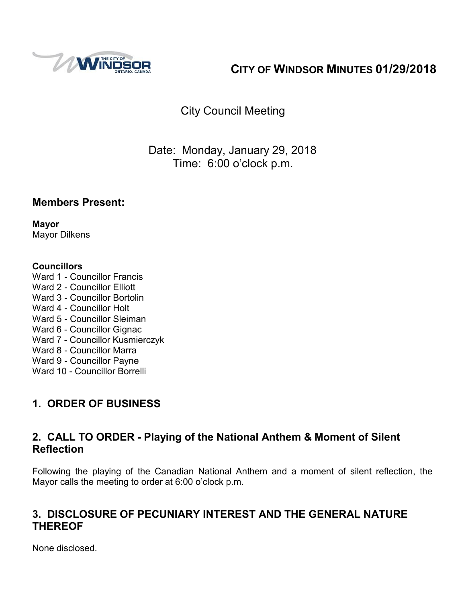

# **CITY OF WINDSOR MINUTES 01/29/2018**

# City Council Meeting

# Date: Monday, January 29, 2018 Time: 6:00 o'clock p.m.

### **Members Present:**

**Mayor** Mayor Dilkens

#### **Councillors**

Ward 1 - Councillor Francis Ward 2 - Councillor Elliott Ward 3 - Councillor Bortolin Ward 4 - Councillor Holt Ward 5 - Councillor Sleiman Ward 6 - Councillor Gignac Ward 7 - Councillor Kusmierczyk Ward 8 - Councillor Marra Ward 9 - Councillor Payne Ward 10 - Councillor Borrelli

# **1. ORDER OF BUSINESS**

## **2. CALL TO ORDER - Playing of the National Anthem & Moment of Silent Reflection**

Following the playing of the Canadian National Anthem and a moment of silent reflection, the Mayor calls the meeting to order at 6:00 o'clock p.m.

## **3. DISCLOSURE OF PECUNIARY INTEREST AND THE GENERAL NATURE THEREOF**

None disclosed.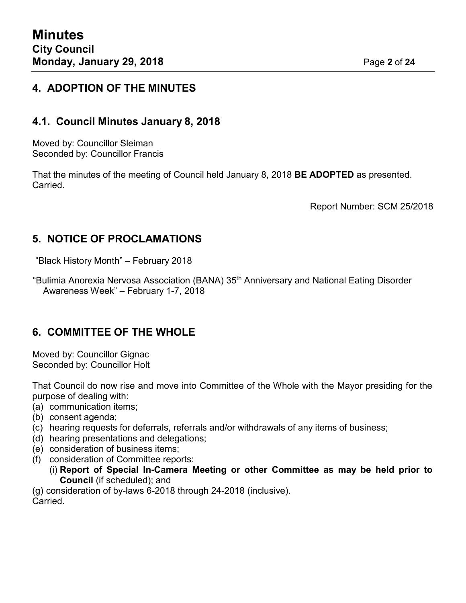### **4. ADOPTION OF THE MINUTES**

#### **4.1. Council Minutes January 8, 2018**

Moved by: Councillor Sleiman Seconded by: Councillor Francis

That the minutes of the meeting of Council held January 8, 2018 **BE ADOPTED** as presented. Carried.

Report Number: SCM 25/2018

#### **5. NOTICE OF PROCLAMATIONS**

"Black History Month" – February 2018

"Bulimia Anorexia Nervosa Association (BANA) 35th Anniversary and National Eating Disorder Awareness Week" – February 1-7, 2018

### **6. COMMITTEE OF THE WHOLE**

Moved by: Councillor Gignac Seconded by: Councillor Holt

That Council do now rise and move into Committee of the Whole with the Mayor presiding for the purpose of dealing with:

- (a) communication items;
- (b) consent agenda;
- (c) hearing requests for deferrals, referrals and/or withdrawals of any items of business;
- (d) hearing presentations and delegations;
- (e) consideration of business items;
- (f) consideration of Committee reports:
	- (i) **Report of Special In-Camera Meeting or other Committee as may be held prior to Council** (if scheduled); and

(g) consideration of by-laws 6-2018 through 24-2018 (inclusive). **Carried**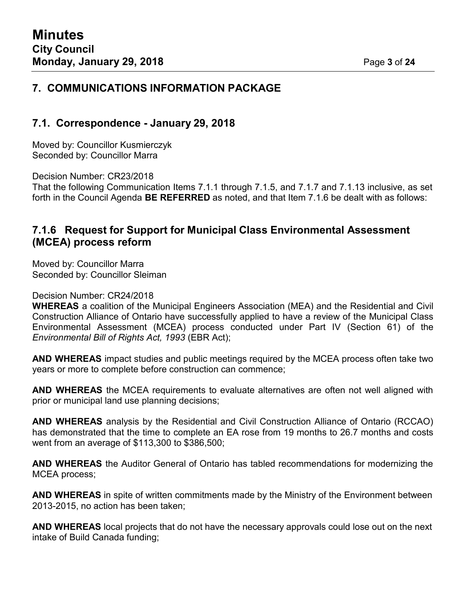#### **7. COMMUNICATIONS INFORMATION PACKAGE**

#### **7.1. Correspondence - January 29, 2018**

Moved by: Councillor Kusmierczyk Seconded by: Councillor Marra

Decision Number: CR23/2018

That the following Communication Items 7.1.1 through 7.1.5, and 7.1.7 and 7.1.13 inclusive, as set forth in the Council Agenda **BE REFERRED** as noted, and that Item 7.1.6 be dealt with as follows:

#### **7.1.6 Request for Support for Municipal Class Environmental Assessment (MCEA) process reform**

Moved by: Councillor Marra Seconded by: Councillor Sleiman

Decision Number: CR24/2018

**WHEREAS** a coalition of the Municipal Engineers Association (MEA) and the Residential and Civil Construction Alliance of Ontario have successfully applied to have a review of the Municipal Class Environmental Assessment (MCEA) process conducted under Part IV (Section 61) of the *Environmental Bill of Rights Act, 1993* (EBR Act);

**AND WHEREAS** impact studies and public meetings required by the MCEA process often take two years or more to complete before construction can commence;

**AND WHEREAS** the MCEA requirements to evaluate alternatives are often not well aligned with prior or municipal land use planning decisions;

**AND WHEREAS** analysis by the Residential and Civil Construction Alliance of Ontario (RCCAO) has demonstrated that the time to complete an EA rose from 19 months to 26.7 months and costs went from an average of \$113,300 to \$386,500;

**AND WHEREAS** the Auditor General of Ontario has tabled recommendations for modernizing the MCEA process;

**AND WHEREAS** in spite of written commitments made by the Ministry of the Environment between 2013-2015, no action has been taken;

**AND WHEREAS** local projects that do not have the necessary approvals could lose out on the next intake of Build Canada funding;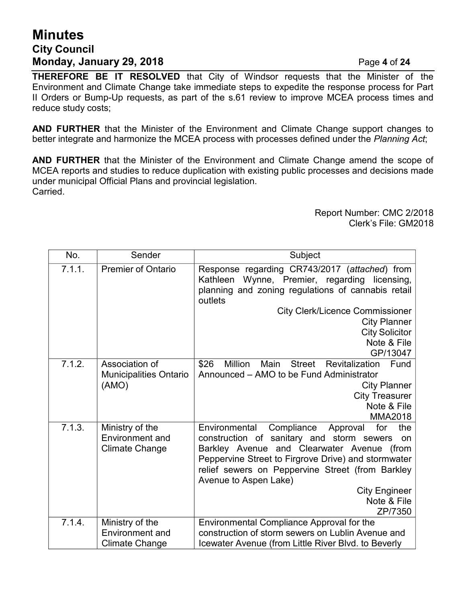# **Minutes City Council Monday, January 29, 2018** Page **4** of **24**

**THEREFORE BE IT RESOLVED** that City of Windsor requests that the Minister of the Environment and Climate Change take immediate steps to expedite the response process for Part II Orders or Bump-Up requests, as part of the s.61 review to improve MCEA process times and reduce study costs;

**AND FURTHER** that the Minister of the Environment and Climate Change support changes to better integrate and harmonize the MCEA process with processes defined under the *Planning Act*;

**AND FURTHER** that the Minister of the Environment and Climate Change amend the scope of MCEA reports and studies to reduce duplication with existing public processes and decisions made under municipal Official Plans and provincial legislation. Carried.

> Report Number: CMC 2/2018 Clerk's File: GM2018

| No.    | Sender                                                             | Subject                                                                                                                                                                                                                                                                                                                                      |  |
|--------|--------------------------------------------------------------------|----------------------------------------------------------------------------------------------------------------------------------------------------------------------------------------------------------------------------------------------------------------------------------------------------------------------------------------------|--|
| 7.1.1. | <b>Premier of Ontario</b>                                          | Response regarding CR743/2017 (attached) from<br>Wynne, Premier, regarding licensing,<br>Kathleen<br>planning and zoning regulations of cannabis retail<br>outlets                                                                                                                                                                           |  |
|        |                                                                    | <b>City Clerk/Licence Commissioner</b><br><b>City Planner</b><br><b>City Solicitor</b><br>Note & File<br>GP/13047                                                                                                                                                                                                                            |  |
| 7.1.2. | Association of<br><b>Municipalities Ontario</b><br>(AMO)           | \$26<br><b>Million</b><br>Main<br><b>Street</b><br><b>Revitalization</b><br>Fund<br>Announced – AMO to be Fund Administrator<br><b>City Planner</b><br><b>City Treasurer</b><br>Note & File<br><b>MMA2018</b>                                                                                                                                |  |
| 7.1.3. | Ministry of the<br><b>Environment and</b><br><b>Climate Change</b> | Environmental<br>Compliance<br>for<br>the<br>Approval<br>construction of sanitary and storm sewers<br>on<br>Barkley Avenue and Clearwater Avenue (from<br>Peppervine Street to Firgrove Drive) and stormwater<br>relief sewers on Peppervine Street (from Barkley<br>Avenue to Aspen Lake)<br><b>City Engineer</b><br>Note & File<br>ZP/7350 |  |
| 7.1.4. | Ministry of the<br><b>Environment and</b><br><b>Climate Change</b> | Environmental Compliance Approval for the<br>construction of storm sewers on Lublin Avenue and<br>Icewater Avenue (from Little River Blvd. to Beverly                                                                                                                                                                                        |  |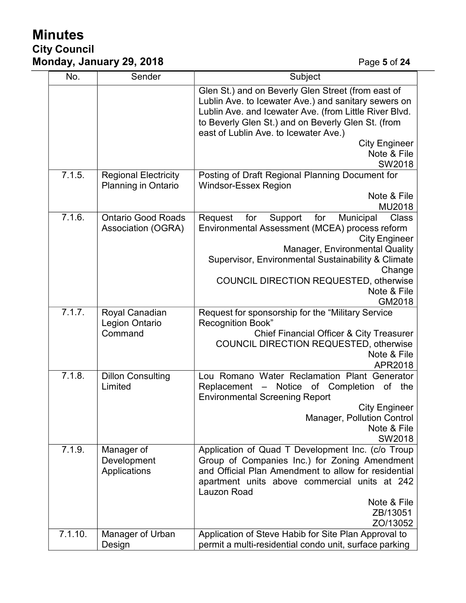# **Minutes City Council Monday, January 29, 2018** Page **5** of **24**

| No.     | Sender                                                    | Subject                                                                                                                                                                                                                                                             |  |
|---------|-----------------------------------------------------------|---------------------------------------------------------------------------------------------------------------------------------------------------------------------------------------------------------------------------------------------------------------------|--|
|         |                                                           | Glen St.) and on Beverly Glen Street (from east of<br>Lublin Ave. to Icewater Ave.) and sanitary sewers on<br>Lublin Ave. and Icewater Ave. (from Little River Blvd.<br>to Beverly Glen St.) and on Beverly Glen St. (from<br>east of Lublin Ave. to Icewater Ave.) |  |
|         |                                                           | <b>City Engineer</b><br>Note & File<br>SW2018                                                                                                                                                                                                                       |  |
| 7.1.5.  | <b>Regional Electricity</b><br><b>Planning in Ontario</b> | Posting of Draft Regional Planning Document for<br><b>Windsor-Essex Region</b><br>Note & File                                                                                                                                                                       |  |
| 7.1.6.  | <b>Ontario Good Roads</b><br>Association (OGRA)           | MU2018<br>Municipal<br>Request<br>for<br>Support<br>for<br>Class<br>Environmental Assessment (MCEA) process reform<br><b>City Engineer</b><br><b>Manager, Environmental Quality</b><br>Supervisor, Environmental Sustainability & Climate<br>Change                 |  |
|         |                                                           | <b>COUNCIL DIRECTION REQUESTED, otherwise</b><br>Note & File<br>GM2018                                                                                                                                                                                              |  |
| 7.1.7.  | Royal Canadian<br><b>Legion Ontario</b><br>Command        | Request for sponsorship for the "Military Service<br><b>Recognition Book"</b><br><b>Chief Financial Officer &amp; City Treasurer</b><br><b>COUNCIL DIRECTION REQUESTED, otherwise</b><br>Note & File<br>APR2018                                                     |  |
| 7.1.8.  | <b>Dillon Consulting</b><br>Limited                       | Lou Romano Water Reclamation Plant Generator<br>Replacement - Notice of Completion<br>of<br>the<br><b>Environmental Screening Report</b><br><b>City Engineer</b><br>Manager, Pollution Control<br>Note & File<br>SW2018                                             |  |
| 7.1.9.  | Manager of<br>Development<br>Applications                 | Application of Quad T Development Inc. (c/o Troup<br>Group of Companies Inc.) for Zoning Amendment<br>and Official Plan Amendment to allow for residential<br>apartment units above commercial units at 242<br>Lauzon Road<br>Note & File<br>ZB/13051<br>ZO/13052   |  |
| 7.1.10. | Manager of Urban<br>Design                                | Application of Steve Habib for Site Plan Approval to<br>permit a multi-residential condo unit, surface parking                                                                                                                                                      |  |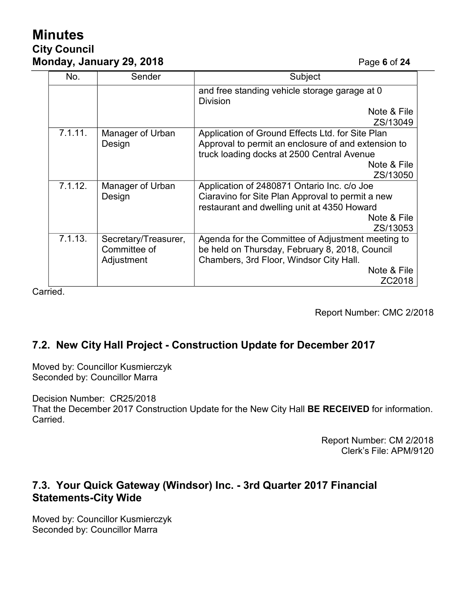# **Minutes City Council Monday, January 29, 2018** Page **6** of **24**

| No.                                   | Sender                                             | Subject                                                                                                                                                       |  |
|---------------------------------------|----------------------------------------------------|---------------------------------------------------------------------------------------------------------------------------------------------------------------|--|
|                                       |                                                    | and free standing vehicle storage garage at 0<br><b>Division</b>                                                                                              |  |
|                                       |                                                    | Note & File<br>ZS/13049                                                                                                                                       |  |
| 7.1.11.<br>Manager of Urban<br>Design |                                                    | Application of Ground Effects Ltd. for Site Plan<br>Approval to permit an enclosure of and extension to<br>truck loading docks at 2500 Central Avenue         |  |
|                                       |                                                    | Note & File<br>ZS/13050                                                                                                                                       |  |
| 7.1.12.                               | Manager of Urban<br>Design                         | Application of 2480871 Ontario Inc. c/o Joe<br>Ciaravino for Site Plan Approval to permit a new<br>restaurant and dwelling unit at 4350 Howard                |  |
|                                       |                                                    | Note & File<br>ZS/13053                                                                                                                                       |  |
| 7.1.13.                               | Secretary/Treasurer,<br>Committee of<br>Adjustment | Agenda for the Committee of Adjustment meeting to<br>be held on Thursday, February 8, 2018, Council<br>Chambers, 3rd Floor, Windsor City Hall.<br>Note & File |  |
|                                       |                                                    | ZC2018                                                                                                                                                        |  |

**Carried** 

Report Number: CMC 2/2018

### **7.2. New City Hall Project - Construction Update for December 2017**

Moved by: Councillor Kusmierczyk Seconded by: Councillor Marra

Decision Number: CR25/2018 That the December 2017 Construction Update for the New City Hall **BE RECEIVED** for information. Carried.

> Report Number: CM 2/2018 Clerk's File: APM/9120

## **7.3. Your Quick Gateway (Windsor) Inc. - 3rd Quarter 2017 Financial Statements-City Wide**

Moved by: Councillor Kusmierczyk Seconded by: Councillor Marra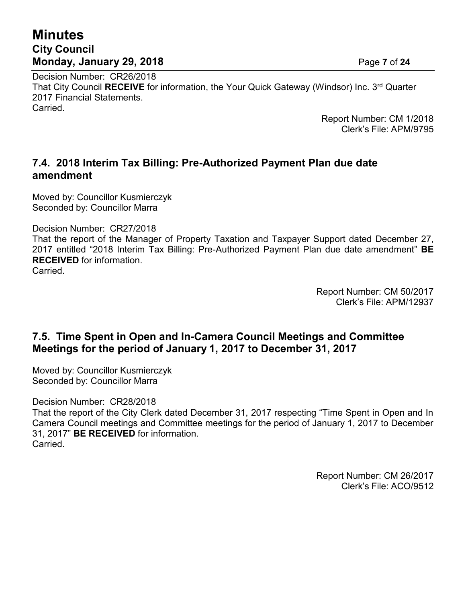# **Minutes City Council Monday, January 29, 2018** Page **7** of **24**

Decision Number: CR26/2018 That City Council **RECEIVE** for information, the Your Quick Gateway (Windsor) Inc. 3 rd Quarter 2017 Financial Statements. Carried.

Report Number: CM 1/2018 Clerk's File: APM/9795

### **7.4. 2018 Interim Tax Billing: Pre-Authorized Payment Plan due date amendment**

Moved by: Councillor Kusmierczyk Seconded by: Councillor Marra

Decision Number: CR27/2018

That the report of the Manager of Property Taxation and Taxpayer Support dated December 27, 2017 entitled "2018 Interim Tax Billing: Pre-Authorized Payment Plan due date amendment" **BE RECEIVED** for information. Carried.

> Report Number: CM 50/2017 Clerk's File: APM/12937

### **7.5. Time Spent in Open and In-Camera Council Meetings and Committee Meetings for the period of January 1, 2017 to December 31, 2017**

Moved by: Councillor Kusmierczyk Seconded by: Councillor Marra

Decision Number: CR28/2018

That the report of the City Clerk dated December 31, 2017 respecting "Time Spent in Open and In Camera Council meetings and Committee meetings for the period of January 1, 2017 to December 31, 2017" **BE RECEIVED** for information. Carried.

> Report Number: CM 26/2017 Clerk's File: ACO/9512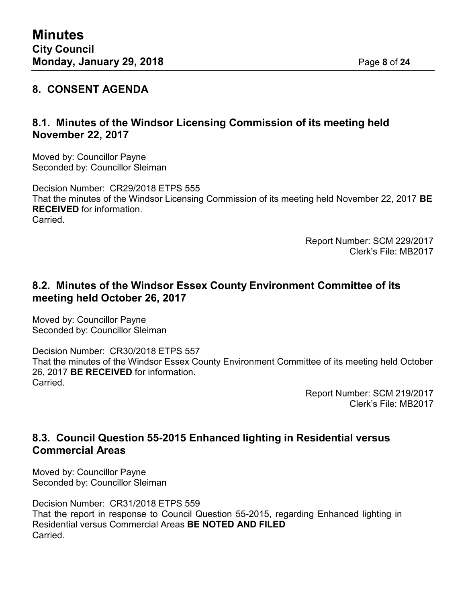#### **8. CONSENT AGENDA**

## **8.1. Minutes of the Windsor Licensing Commission of its meeting held November 22, 2017**

Moved by: Councillor Payne Seconded by: Councillor Sleiman

Decision Number: CR29/2018 ETPS 555 That the minutes of the Windsor Licensing Commission of its meeting held November 22, 2017 **BE RECEIVED** for information. Carried.

> Report Number: SCM 229/2017 Clerk's File: MB2017

#### **8.2. Minutes of the Windsor Essex County Environment Committee of its meeting held October 26, 2017**

Moved by: Councillor Payne Seconded by: Councillor Sleiman

Decision Number: CR30/2018 ETPS 557 That the minutes of the Windsor Essex County Environment Committee of its meeting held October 26, 2017 **BE RECEIVED** for information. **Carried** 

> Report Number: SCM 219/2017 Clerk's File: MB2017

## **8.3. Council Question 55-2015 Enhanced lighting in Residential versus Commercial Areas**

Moved by: Councillor Payne Seconded by: Councillor Sleiman

Decision Number: CR31/2018 ETPS 559 That the report in response to Council Question 55-2015, regarding Enhanced lighting in Residential versus Commercial Areas **BE NOTED AND FILED Carried**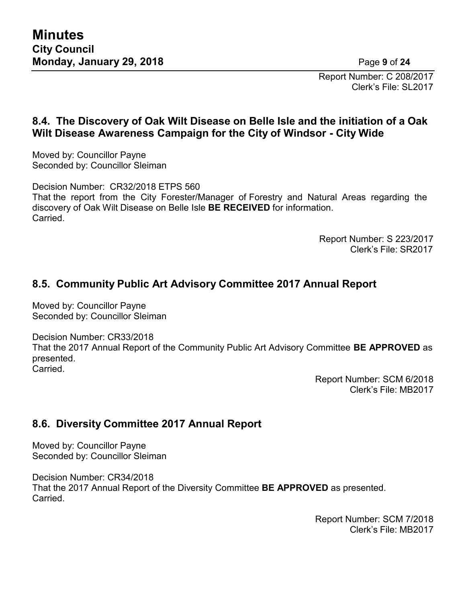Report Number: C 208/2017 Clerk's File: SL2017

### **8.4. The Discovery of Oak Wilt Disease on Belle Isle and the initiation of a Oak Wilt Disease Awareness Campaign for the City of Windsor - City Wide**

Moved by: Councillor Payne Seconded by: Councillor Sleiman

Decision Number: CR32/2018 ETPS 560 That the report from the City Forester/Manager of Forestry and Natural Areas regarding the discovery of Oak Wilt Disease on Belle Isle **BE RECEIVED** for information. Carried.

> Report Number: S 223/2017 Clerk's File: SR2017

## **8.5. Community Public Art Advisory Committee 2017 Annual Report**

Moved by: Councillor Payne Seconded by: Councillor Sleiman

Decision Number: CR33/2018 That the 2017 Annual Report of the Community Public Art Advisory Committee **BE APPROVED** as presented. **Carried** 

> Report Number: SCM 6/2018 Clerk's File: MB2017

### **8.6. Diversity Committee 2017 Annual Report**

Moved by: Councillor Payne Seconded by: Councillor Sleiman

Decision Number: CR34/2018 That the 2017 Annual Report of the Diversity Committee **BE APPROVED** as presented. Carried.

> Report Number: SCM 7/2018 Clerk's File: MB2017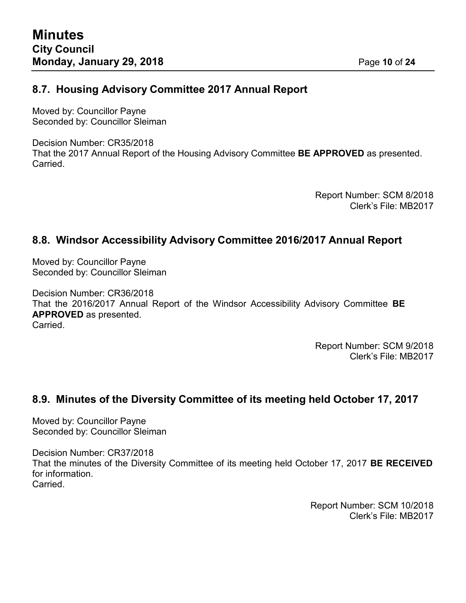#### **8.7. Housing Advisory Committee 2017 Annual Report**

Moved by: Councillor Payne Seconded by: Councillor Sleiman

Decision Number: CR35/2018 That the 2017 Annual Report of the Housing Advisory Committee **BE APPROVED** as presented. Carried.

> Report Number: SCM 8/2018 Clerk's File: MB2017

### **8.8. Windsor Accessibility Advisory Committee 2016/2017 Annual Report**

Moved by: Councillor Payne Seconded by: Councillor Sleiman

Decision Number: CR36/2018 That the 2016/2017 Annual Report of the Windsor Accessibility Advisory Committee **BE APPROVED** as presented. Carried.

> Report Number: SCM 9/2018 Clerk's File: MB2017

### **8.9. Minutes of the Diversity Committee of its meeting held October 17, 2017**

Moved by: Councillor Payne Seconded by: Councillor Sleiman

Decision Number: CR37/2018 That the minutes of the Diversity Committee of its meeting held October 17, 2017 **BE RECEIVED** for information. Carried.

> Report Number: SCM 10/2018 Clerk's File: MB2017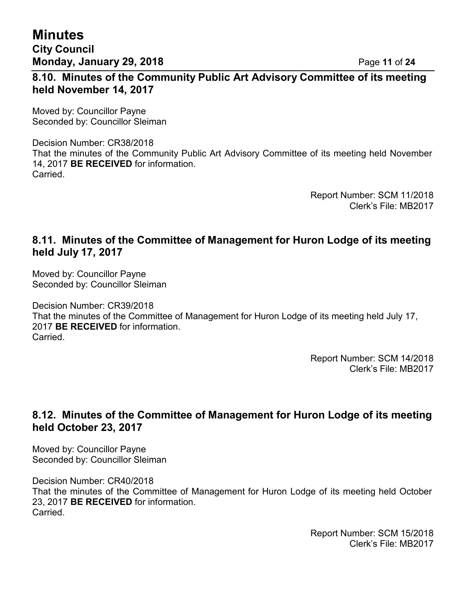**Minutes City Council Monday, January 29, 2018 Page 11 of 24** 

### **8.10. Minutes of the Community Public Art Advisory Committee of its meeting held November 14, 2017**

Moved by: Councillor Payne Seconded by: Councillor Sleiman

Decision Number: CR38/2018 That the minutes of the Community Public Art Advisory Committee of its meeting held November 14, 2017 **BE RECEIVED** for information. Carried.

> Report Number: SCM 11/2018 Clerk's File: MB2017

#### **8.11. Minutes of the Committee of Management for Huron Lodge of its meeting held July 17, 2017**

Moved by: Councillor Payne Seconded by: Councillor Sleiman

Decision Number: CR39/2018 That the minutes of the Committee of Management for Huron Lodge of its meeting held July 17, 2017 **BE RECEIVED** for information. Carried.

> Report Number: SCM 14/2018 Clerk's File: MB2017

### **8.12. Minutes of the Committee of Management for Huron Lodge of its meeting held October 23, 2017**

Moved by: Councillor Payne Seconded by: Councillor Sleiman

Decision Number: CR40/2018 That the minutes of the Committee of Management for Huron Lodge of its meeting held October 23, 2017 **BE RECEIVED** for information. Carried.

> Report Number: SCM 15/2018 Clerk's File: MB2017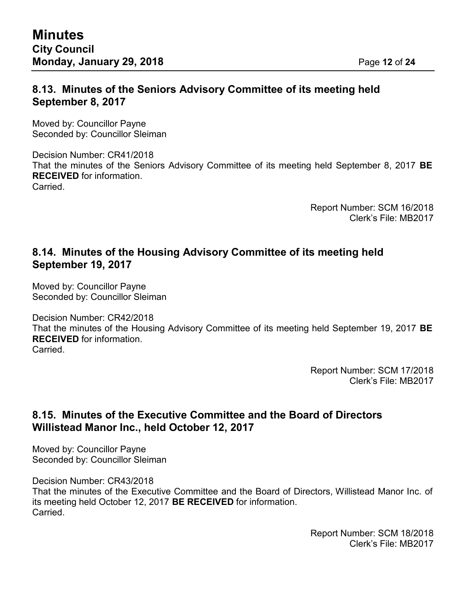### **8.13. Minutes of the Seniors Advisory Committee of its meeting held September 8, 2017**

Moved by: Councillor Payne Seconded by: Councillor Sleiman

Decision Number: CR41/2018 That the minutes of the Seniors Advisory Committee of its meeting held September 8, 2017 **BE RECEIVED** for information. **Carried** 

> Report Number: SCM 16/2018 Clerk's File: MB2017

## **8.14. Minutes of the Housing Advisory Committee of its meeting held September 19, 2017**

Moved by: Councillor Payne Seconded by: Councillor Sleiman

Decision Number: CR42/2018 That the minutes of the Housing Advisory Committee of its meeting held September 19, 2017 **BE RECEIVED** for information. Carried.

> Report Number: SCM 17/2018 Clerk's File: MB2017

### **8.15. Minutes of the Executive Committee and the Board of Directors Willistead Manor Inc., held October 12, 2017**

Moved by: Councillor Payne Seconded by: Councillor Sleiman

Decision Number: CR43/2018 That the minutes of the Executive Committee and the Board of Directors, Willistead Manor Inc. of its meeting held October 12, 2017 **BE RECEIVED** for information. Carried.

> Report Number: SCM 18/2018 Clerk's File: MB2017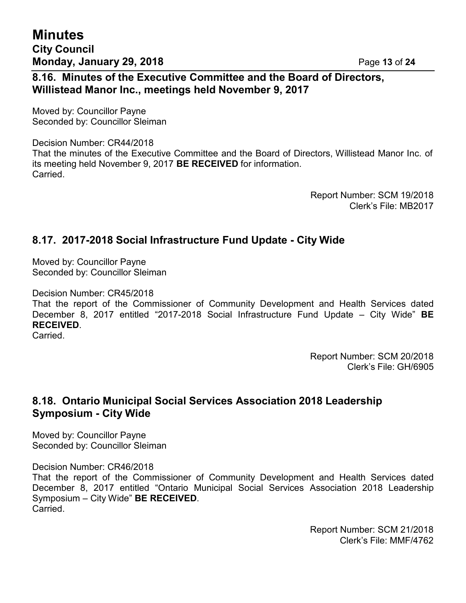### **8.16. Minutes of the Executive Committee and the Board of Directors, Willistead Manor Inc., meetings held November 9, 2017**

Moved by: Councillor Payne Seconded by: Councillor Sleiman

Decision Number: CR44/2018 That the minutes of the Executive Committee and the Board of Directors, Willistead Manor Inc. of its meeting held November 9, 2017 **BE RECEIVED** for information. Carried.

> Report Number: SCM 19/2018 Clerk's File: MB2017

## **8.17. 2017-2018 Social Infrastructure Fund Update - City Wide**

Moved by: Councillor Payne Seconded by: Councillor Sleiman

Decision Number: CR45/2018

That the report of the Commissioner of Community Development and Health Services dated December 8, 2017 entitled "2017-2018 Social Infrastructure Fund Update – City Wide" **BE RECEIVED**.

Carried.

Report Number: SCM 20/2018 Clerk's File: GH/6905

#### **8.18. Ontario Municipal Social Services Association 2018 Leadership Symposium - City Wide**

Moved by: Councillor Payne Seconded by: Councillor Sleiman

Decision Number: CR46/2018

That the report of the Commissioner of Community Development and Health Services dated December 8, 2017 entitled "Ontario Municipal Social Services Association 2018 Leadership Symposium – City Wide" **BE RECEIVED**. **Carried** 

> Report Number: SCM 21/2018 Clerk's File: MMF/4762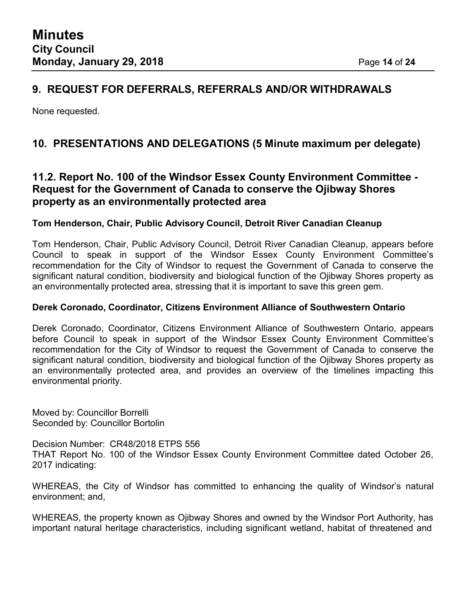### **9. REQUEST FOR DEFERRALS, REFERRALS AND/OR WITHDRAWALS**

None requested.

## **10. PRESENTATIONS AND DELEGATIONS (5 Minute maximum per delegate)**

#### **11.2. Report No. 100 of the Windsor Essex County Environment Committee - Request for the Government of Canada to conserve the Ojibway Shores property as an environmentally protected area**

#### **Tom Henderson, Chair, Public Advisory Council, Detroit River Canadian Cleanup**

Tom Henderson, Chair, Public Advisory Council, Detroit River Canadian Cleanup, appears before Council to speak in support of the Windsor Essex County Environment Committee's recommendation for the City of Windsor to request the Government of Canada to conserve the significant natural condition, biodiversity and biological function of the Ojibway Shores property as an environmentally protected area, stressing that it is important to save this green gem.

#### **Derek Coronado, Coordinator, Citizens Environment Alliance of Southwestern Ontario**

Derek Coronado, Coordinator, Citizens Environment Alliance of Southwestern Ontario, appears before Council to speak in support of the Windsor Essex County Environment Committee's recommendation for the City of Windsor to request the Government of Canada to conserve the significant natural condition, biodiversity and biological function of the Ojibway Shores property as an environmentally protected area, and provides an overview of the timelines impacting this environmental priority.

Moved by: Councillor Borrelli Seconded by: Councillor Bortolin

Decision Number: CR48/2018 ETPS 556 THAT Report No. 100 of the Windsor Essex County Environment Committee dated October 26, 2017 indicating:

WHEREAS, the City of Windsor has committed to enhancing the quality of Windsor's natural environment; and,

WHEREAS, the property known as Ojibway Shores and owned by the Windsor Port Authority, has important natural heritage characteristics, including significant wetland, habitat of threatened and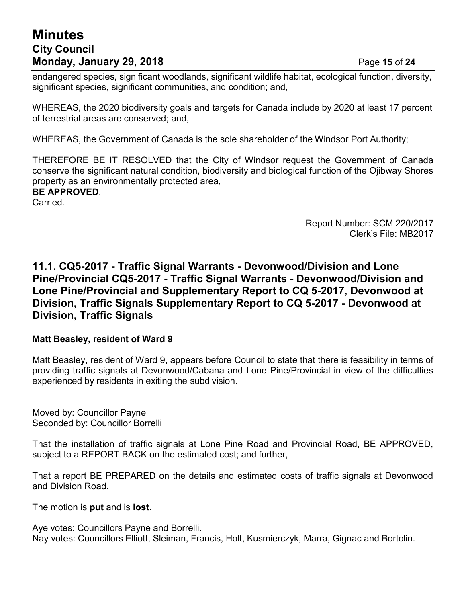# **Minutes City Council Monday, January 29, 2018 Page 15 of 24**

endangered species, significant woodlands, significant wildlife habitat, ecological function, diversity, significant species, significant communities, and condition; and,

WHEREAS, the 2020 biodiversity goals and targets for Canada include by 2020 at least 17 percent of terrestrial areas are conserved; and,

WHEREAS, the Government of Canada is the sole shareholder of the Windsor Port Authority;

THEREFORE BE IT RESOLVED that the City of Windsor request the Government of Canada conserve the significant natural condition, biodiversity and biological function of the Ojibway Shores property as an environmentally protected area,

#### **BE APPROVED**.

Carried.

Report Number: SCM 220/2017 Clerk's File: MB2017

#### **11.1. CQ5-2017 - Traffic Signal Warrants - Devonwood/Division and Lone Pine/Provincial CQ5-2017 - Traffic Signal Warrants - Devonwood/Division and Lone Pine/Provincial and Supplementary Report to CQ 5-2017, Devonwood at Division, Traffic Signals Supplementary Report to CQ 5-2017 - Devonwood at Division, Traffic Signals**

#### **Matt Beasley, resident of Ward 9**

Matt Beasley, resident of Ward 9, appears before Council to state that there is feasibility in terms of providing traffic signals at Devonwood/Cabana and Lone Pine/Provincial in view of the difficulties experienced by residents in exiting the subdivision.

Moved by: Councillor Payne Seconded by: Councillor Borrelli

That the installation of traffic signals at Lone Pine Road and Provincial Road, BE APPROVED, subject to a REPORT BACK on the estimated cost; and further,

That a report BE PREPARED on the details and estimated costs of traffic signals at Devonwood and Division Road.

The motion is **put** and is **lost**.

Aye votes: Councillors Payne and Borrelli. Nay votes: Councillors Elliott, Sleiman, Francis, Holt, Kusmierczyk, Marra, Gignac and Bortolin.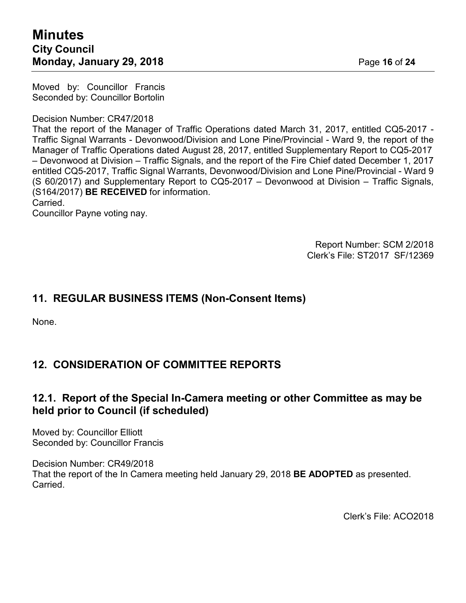Moved by: Councillor Francis Seconded by: Councillor Bortolin

Decision Number: CR47/2018

That the report of the Manager of Traffic Operations dated March 31, 2017, entitled CQ5-2017 - Traffic Signal Warrants - Devonwood/Division and Lone Pine/Provincial - Ward 9, the report of the Manager of Traffic Operations dated August 28, 2017, entitled Supplementary Report to CQ5-2017 – Devonwood at Division – Traffic Signals, and the report of the Fire Chief dated December 1, 2017 entitled CQ5-2017, Traffic Signal Warrants, Devonwood/Division and Lone Pine/Provincial - Ward 9 (S 60/2017) and Supplementary Report to CQ5-2017 – Devonwood at Division – Traffic Signals, (S164/2017) **BE RECEIVED** for information.

Carried.

Councillor Payne voting nay.

Report Number: SCM 2/2018 Clerk's File: ST2017 SF/12369

#### **11. REGULAR BUSINESS ITEMS (Non-Consent Items)**

None.

### **12. CONSIDERATION OF COMMITTEE REPORTS**

### **12.1. Report of the Special In-Camera meeting or other Committee as may be held prior to Council (if scheduled)**

Moved by: Councillor Elliott Seconded by: Councillor Francis

Decision Number: CR49/2018 That the report of the In Camera meeting held January 29, 2018 **BE ADOPTED** as presented. Carried.

Clerk's File: ACO2018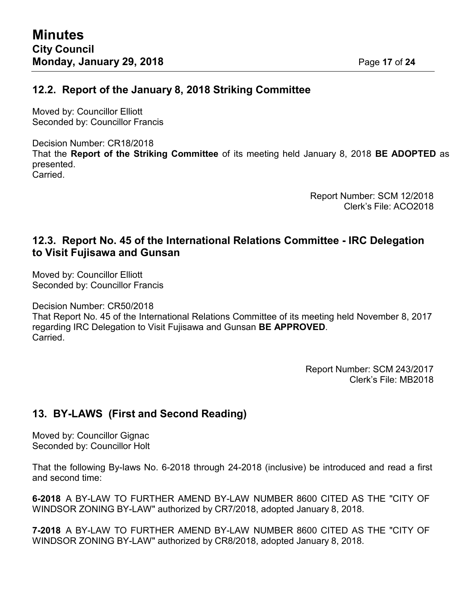#### **12.2. Report of the January 8, 2018 Striking Committee**

Moved by: Councillor Elliott Seconded by: Councillor Francis

Decision Number: CR18/2018 That the **Report of the Striking Committee** of its meeting held January 8, 2018 **BE ADOPTED** as presented. Carried.

> Report Number: SCM 12/2018 Clerk's File: ACO2018

#### **12.3. Report No. 45 of the International Relations Committee - IRC Delegation to Visit Fujisawa and Gunsan**

Moved by: Councillor Elliott Seconded by: Councillor Francis

Decision Number: CR50/2018

That Report No. 45 of the International Relations Committee of its meeting held November 8, 2017 regarding IRC Delegation to Visit Fujisawa and Gunsan **BE APPROVED**. Carried.

> Report Number: SCM 243/2017 Clerk's File: MB2018

## **13. BY-LAWS (First and Second Reading)**

Moved by: Councillor Gignac Seconded by: Councillor Holt

That the following By-laws No. 6-2018 through 24-2018 (inclusive) be introduced and read a first and second time:

**6-2018** A BY-LAW TO FURTHER AMEND BY-LAW NUMBER 8600 CITED AS THE "CITY OF WINDSOR ZONING BY-LAW" authorized by CR7/2018, adopted January 8, 2018.

**7-2018** A BY-LAW TO FURTHER AMEND BY-LAW NUMBER 8600 CITED AS THE "CITY OF WINDSOR ZONING BY-LAW" authorized by CR8/2018, adopted January 8, 2018.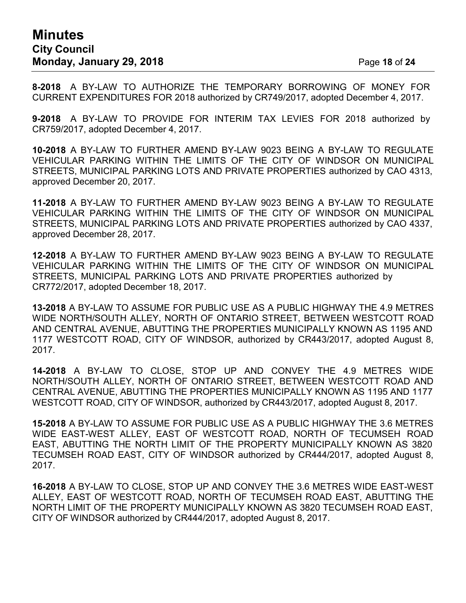# **Minutes City Council Monday, January 29, 2018 Page 18 of 24**

**8-2018** A BY-LAW TO AUTHORIZE THE TEMPORARY BORROWING OF MONEY FOR CURRENT EXPENDITURES FOR 2018 authorized by CR749/2017, adopted December 4, 2017.

**9-2018** A BY-LAW TO PROVIDE FOR INTERIM TAX LEVIES FOR 2018 authorized by CR759/2017, adopted December 4, 2017.

**10-2018** A BY-LAW TO FURTHER AMEND BY-LAW 9023 BEING A BY-LAW TO REGULATE VEHICULAR PARKING WITHIN THE LIMITS OF THE CITY OF WINDSOR ON MUNICIPAL STREETS, MUNICIPAL PARKING LOTS AND PRIVATE PROPERTIES authorized by CAO 4313, approved December 20, 2017.

**11-2018** A BY-LAW TO FURTHER AMEND BY-LAW 9023 BEING A BY-LAW TO REGULATE VEHICULAR PARKING WITHIN THE LIMITS OF THE CITY OF WINDSOR ON MUNICIPAL STREETS, MUNICIPAL PARKING LOTS AND PRIVATE PROPERTIES authorized by CAO 4337, approved December 28, 2017.

**12-2018** A BY-LAW TO FURTHER AMEND BY-LAW 9023 BEING A BY-LAW TO REGULATE VEHICULAR PARKING WITHIN THE LIMITS OF THE CITY OF WINDSOR ON MUNICIPAL STREETS, MUNICIPAL PARKING LOTS AND PRIVATE PROPERTIES authorized by CR772/2017, adopted December 18, 2017.

**13-2018** A BY-LAW TO ASSUME FOR PUBLIC USE AS A PUBLIC HIGHWAY THE 4.9 METRES WIDE NORTH/SOUTH ALLEY, NORTH OF ONTARIO STREET, BETWEEN WESTCOTT ROAD AND CENTRAL AVENUE, ABUTTING THE PROPERTIES MUNICIPALLY KNOWN AS 1195 AND 1177 WESTCOTT ROAD, CITY OF WINDSOR, authorized by CR443/2017, adopted August 8, 2017.

**14-2018** A BY-LAW TO CLOSE, STOP UP AND CONVEY THE 4.9 METRES WIDE NORTH/SOUTH ALLEY, NORTH OF ONTARIO STREET, BETWEEN WESTCOTT ROAD AND CENTRAL AVENUE, ABUTTING THE PROPERTIES MUNICIPALLY KNOWN AS 1195 AND 1177 WESTCOTT ROAD, CITY OF WINDSOR, authorized by CR443/2017, adopted August 8, 2017.

**15-2018** A BY-LAW TO ASSUME FOR PUBLIC USE AS A PUBLIC HIGHWAY THE 3.6 METRES WIDE EAST-WEST ALLEY, EAST OF WESTCOTT ROAD, NORTH OF TECUMSEH ROAD EAST, ABUTTING THE NORTH LIMIT OF THE PROPERTY MUNICIPALLY KNOWN AS 3820 TECUMSEH ROAD EAST, CITY OF WINDSOR authorized by CR444/2017, adopted August 8, 2017.

**16-2018** A BY-LAW TO CLOSE, STOP UP AND CONVEY THE 3.6 METRES WIDE EAST-WEST ALLEY, EAST OF WESTCOTT ROAD, NORTH OF TECUMSEH ROAD EAST, ABUTTING THE NORTH LIMIT OF THE PROPERTY MUNICIPALLY KNOWN AS 3820 TECUMSEH ROAD EAST, CITY OF WINDSOR authorized by CR444/2017, adopted August 8, 2017.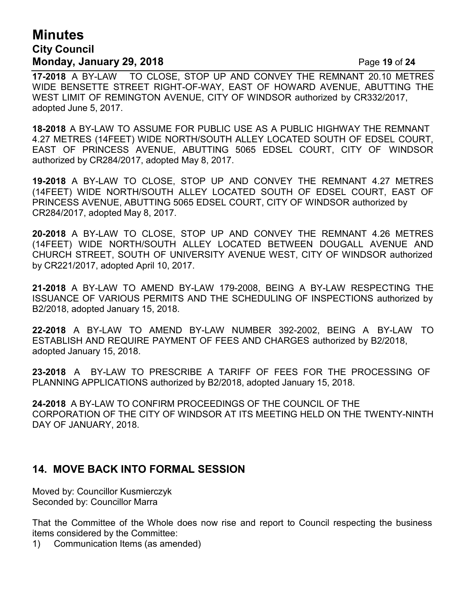## **Minutes City Council Monday, January 29, 2018 Page 19 of 24**

**17-2018** A BY-LAW TO CLOSE, STOP UP AND CONVEY THE REMNANT 20.10 METRES WIDE BENSETTE STREET RIGHT-OF-WAY, EAST OF HOWARD AVENUE, ABUTTING THE WEST LIMIT OF REMINGTON AVENUE, CITY OF WINDSOR authorized by CR332/2017, adopted June 5, 2017.

**18-2018** A BY-LAW TO ASSUME FOR PUBLIC USE AS A PUBLIC HIGHWAY THE REMNANT 4.27 METRES (14FEET) WIDE NORTH/SOUTH ALLEY LOCATED SOUTH OF EDSEL COURT, EAST OF PRINCESS AVENUE, ABUTTING 5065 EDSEL COURT, CITY OF WINDSOR authorized by CR284/2017, adopted May 8, 2017.

**19-2018** A BY-LAW TO CLOSE, STOP UP AND CONVEY THE REMNANT 4.27 METRES (14FEET) WIDE NORTH/SOUTH ALLEY LOCATED SOUTH OF EDSEL COURT, EAST OF PRINCESS AVENUE, ABUTTING 5065 EDSEL COURT, CITY OF WINDSOR authorized by CR284/2017, adopted May 8, 2017.

**20-2018** A BY-LAW TO CLOSE, STOP UP AND CONVEY THE REMNANT 4.26 METRES (14FEET) WIDE NORTH/SOUTH ALLEY LOCATED BETWEEN DOUGALL AVENUE AND CHURCH STREET, SOUTH OF UNIVERSITY AVENUE WEST, CITY OF WINDSOR authorized by CR221/2017, adopted April 10, 2017.

**21-2018** A BY-LAW TO AMEND BY-LAW 179-2008, BEING A BY-LAW RESPECTING THE ISSUANCE OF VARIOUS PERMITS AND THE SCHEDULING OF INSPECTIONS authorized by B2/2018, adopted January 15, 2018.

**22-2018** A BY-LAW TO AMEND BY-LAW NUMBER 392-2002, BEING A BY-LAW TO ESTABLISH AND REQUIRE PAYMENT OF FEES AND CHARGES authorized by B2/2018, adopted January 15, 2018.

**23-2018** A BY-LAW TO PRESCRIBE A TARIFF OF FEES FOR THE PROCESSING OF PLANNING APPLICATIONS authorized by B2/2018, adopted January 15, 2018.

**24-2018** A BY-LAW TO CONFIRM PROCEEDINGS OF THE COUNCIL OF THE CORPORATION OF THE CITY OF WINDSOR AT ITS MEETING HELD ON THE TWENTY-NINTH DAY OF JANUARY, 2018.

### **14. MOVE BACK INTO FORMAL SESSION**

Moved by: Councillor Kusmierczyk Seconded by: Councillor Marra

That the Committee of the Whole does now rise and report to Council respecting the business items considered by the Committee:

1) Communication Items (as amended)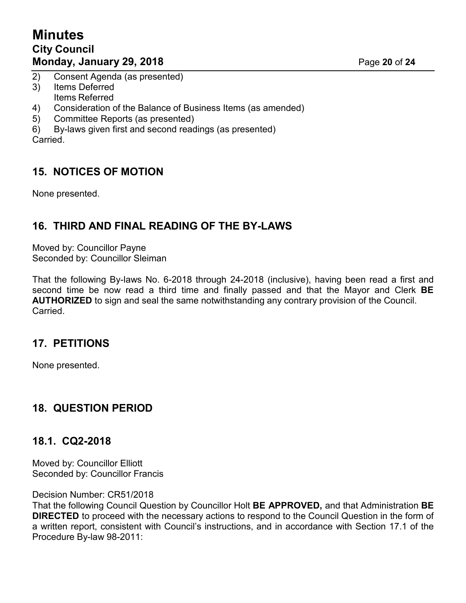# **Minutes City Council Monday, January 29, 2018 Page 20 of 24**

- 2) Consent Agenda (as presented)
- 3) Items Deferred Items Referred
- 4) Consideration of the Balance of Business Items (as amended)
- 5) Committee Reports (as presented)
- 6) By-laws given first and second readings (as presented) Carried.

## **15. NOTICES OF MOTION**

None presented.

## **16. THIRD AND FINAL READING OF THE BY-LAWS**

Moved by: Councillor Payne Seconded by: Councillor Sleiman

That the following By-laws No. 6-2018 through 24-2018 (inclusive), having been read a first and second time be now read a third time and finally passed and that the Mayor and Clerk **BE AUTHORIZED** to sign and seal the same notwithstanding any contrary provision of the Council. Carried.

### **17. PETITIONS**

None presented.

### **18. QUESTION PERIOD**

### **18.1. CQ2-2018**

Moved by: Councillor Elliott Seconded by: Councillor Francis

Decision Number: CR51/2018

That the following Council Question by Councillor Holt **BE APPROVED,** and that Administration **BE DIRECTED** to proceed with the necessary actions to respond to the Council Question in the form of a written report, consistent with Council's instructions, and in accordance with Section 17.1 of the Procedure By-law 98-2011: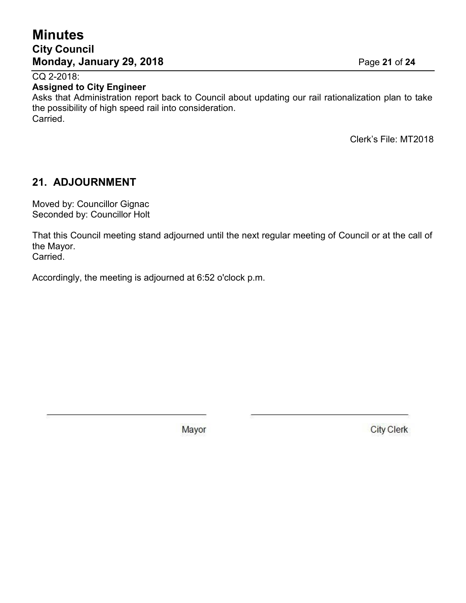## **Minutes City Council Monday, January 29, 2018** Page **21** of **24**

CQ 2-2018:

#### **Assigned to City Engineer**

Asks that Administration report back to Council about updating our rail rationalization plan to take the possibility of high speed rail into consideration. Carried.

Clerk's File: MT2018

## **21. ADJOURNMENT**

Moved by: Councillor Gignac Seconded by: Councillor Holt

That this Council meeting stand adjourned until the next regular meeting of Council or at the call of the Mayor. Carried.

Accordingly, the meeting is adjourned at 6:52 o'clock p.m.

Mayor

**City Clerk**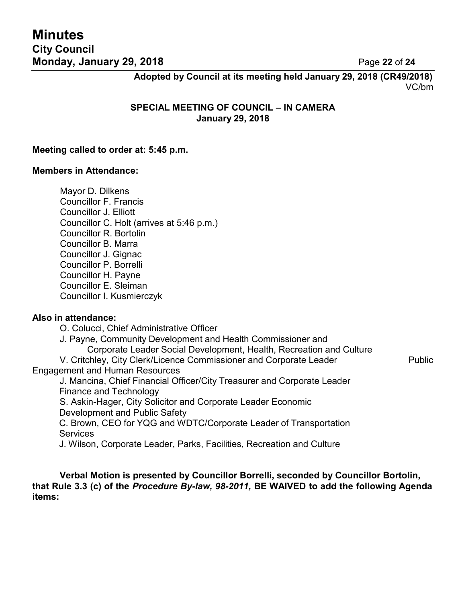# **Minutes City Council Monday, January 29, 2018 Page 22 of 24**

**Adopted by Council at its meeting held January 29, 2018 (CR49/2018)** VC/bm

**SPECIAL MEETING OF COUNCIL – IN CAMERA January 29, 2018**

#### **Meeting called to order at: 5:45 p.m.**

#### **Members in Attendance:**

Mayor D. Dilkens Councillor F. Francis Councillor J. Elliott Councillor C. Holt (arrives at 5:46 p.m.) Councillor R. Bortolin Councillor B. Marra Councillor J. Gignac Councillor P. Borrelli Councillor H. Payne Councillor E. Sleiman Councillor I. Kusmierczyk

#### **Also in attendance:**

O. Colucci, Chief Administrative Officer

J. Payne, Community Development and Health Commissioner and

Corporate Leader Social Development, Health, Recreation and Culture

V. Critchley, City Clerk/Licence Commissioner and Corporate Leader Public Engagement and Human Resources

J. Mancina, Chief Financial Officer/City Treasurer and Corporate Leader Finance and Technology

S. Askin-Hager, City Solicitor and Corporate Leader Economic Development and Public Safety

C. Brown, CEO for YQG and WDTC/Corporate Leader of Transportation **Services** 

J. Wilson, Corporate Leader, Parks, Facilities, Recreation and Culture

**Verbal Motion is presented by Councillor Borrelli, seconded by Councillor Bortolin, that Rule 3.3 (c) of the** *Procedure By-law, 98-2011,* **BE WAIVED to add the following Agenda items:**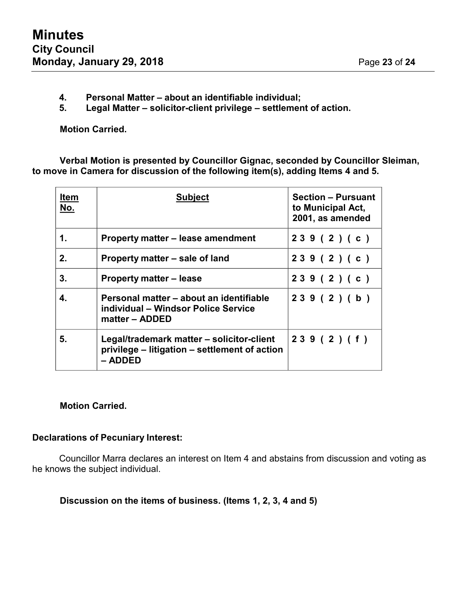- **4. Personal Matter – about an identifiable individual;**
- **5. Legal Matter – solicitor-client privilege – settlement of action.**

**Motion Carried.**

**Verbal Motion is presented by Councillor Gignac, seconded by Councillor Sleiman, to move in Camera for discussion of the following item(s), adding Items 4 and 5.**

| <b>Item</b><br>No. | <b>Subject</b>                                                                                        | <b>Section - Pursuant</b><br>to Municipal Act,<br>2001, as amended |
|--------------------|-------------------------------------------------------------------------------------------------------|--------------------------------------------------------------------|
| 1.                 | Property matter – lease amendment                                                                     | 239(2)(c)                                                          |
| 2.                 | Property matter – sale of land                                                                        | 239(2)(c)                                                          |
| 3.                 | <b>Property matter – lease</b>                                                                        | 239(2)(c)                                                          |
| 4.                 | Personal matter – about an identifiable<br>individual – Windsor Police Service<br>matter – ADDED      | 239(2)(b)                                                          |
| 5.                 | Legal/trademark matter – solicitor-client<br>privilege – litigation – settlement of action<br>– ADDED | 239(2)(f)                                                          |

#### **Motion Carried.**

#### **Declarations of Pecuniary Interest:**

Councillor Marra declares an interest on Item 4 and abstains from discussion and voting as he knows the subject individual.

**Discussion on the items of business. (Items 1, 2, 3, 4 and 5)**